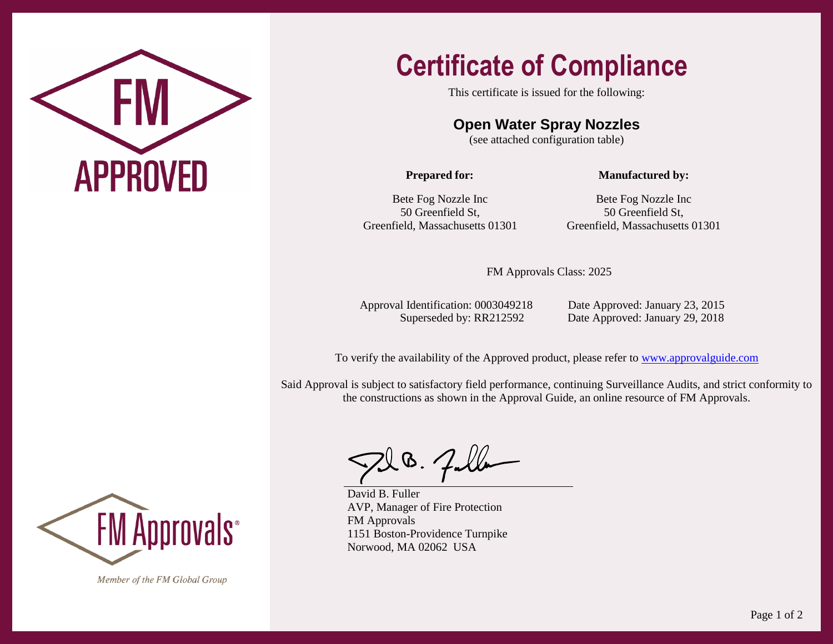

## **Certificate of Compliance**

This certificate is issued for the following:

## **Open Water Spray Nozzles**

(see attached configuration table)

**Prepared for:**

**Manufactured by:**

Bete Fog Nozzle Inc 50 Greenfield St, Greenfield, Massachusetts 01301

Bete Fog Nozzle Inc 50 Greenfield St, Greenfield, Massachusetts 01301

FM Approvals Class: 2025

Approval Identification: 0003049218 Date Approved: January 23, 2015

Superseded by: RR212592 Date Approved: January 29, 2018

To verify the availability of the Approved product, please refer to [www.approvalguide.com](http://www.approvalguide.com/)

Said Approval is subject to satisfactory field performance, continuing Surveillance Audits, and strict conformity to the constructions as shown in the Approval Guide, an online resource of FM Approvals.

200. Falla

David B. Fuller AVP, Manager of Fire Protection FM Approvals 1151 Boston-Providence Turnpike Norwood, MA 02062 USA



Member of the FM Global Group